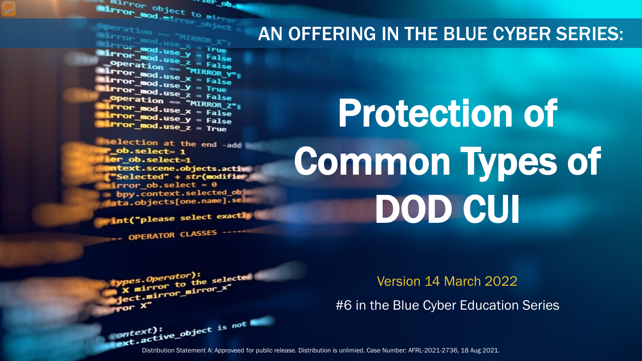The object to minner of the minner of the minner of the minner of the minner of the minner of the minner of the minner of the minner of the minner of the minner of the minner of the minner of the minner of the minner of th mirror object to mirror ...er\_ob

**Exercition == "MIRROR\_X";<br>Linnor\_mod.use\_X = True<br>Linnor\_mod.use\_X = True Example 200** Use  $X = True$ <br> **Linton\_mod.use**  $y = False$ <br> **Onen\_mod.use z** = Ealse **Example:** at 10n == "MIRROR Y"<br>**Example:** mod.use\_x = False<br>**Example:** mod.use\_v = False  $\frac{mod \cdot use_x}{irror\_mod \cdot use_x} = False$  $\frac{1}{2}$  From  $\frac{\text{mod use } y}{1 - \text{mod use } z}$  = Frue **Operation == "MIRROR\_Z":**<br><u>IFror mod.use : "MIRROR\_Z</u>";  $\begin{array}{rcl} \n\textbf{I} \cdot \textbf{I} \cdot \textbf{I} \cdot \textbf{I} \cdot \textbf{I} \cdot \textbf{I} \cdot \textbf{I} \cdot \textbf{I} \cdot \textbf{I} \cdot \textbf{I} \cdot \textbf{I} \cdot \textbf{I} \cdot \textbf{I} \cdot \textbf{I} \cdot \textbf{I} \cdot \textbf{I} \cdot \textbf{I} \cdot \textbf{I} \cdot \textbf{I} \cdot \textbf{I} \cdot \textbf{I} \cdot \textbf{I} \cdot \textbf{I} \cdot \textbf{I} \cdot \textbf{I} \cdot \textbf{I} \cdot \text$  $k$  Pror\_mod.use\_ $x = False$ <br> $k$  Pror\_mod.use\_ $y = False$  $Irror_mod.use_y = False$ <br> $Irror_mod.use_z = True$ 

election at the end -add \_ob.select= 1 er\_ob.select=1 ntext.scene.objects.actiw "Selected" + str(modifier irror ob. select =  $0$ bpy.context.selected\_obj ata.objects[one.name].sel

int("please select exactly

*pes.Operator*):<br>X mirror to the selected<br>X mirror mirror\_x"

OPERATOR CLASSES

pes.Operator):<br>npes.operator):

x mirror to the sum<br>education introduced vertical property.

#### AN OFFERING IN THE BLUE CYBER SERIES:

# Protection of Common Types of DOD CUI

Version 14 March 2022

#6 in the Blue Cyber Education Series

Distribution Statement A: Approveed for public release. Distribution is unlimied. Case Number: AFRL-2021-2736, 18 Aug 2021.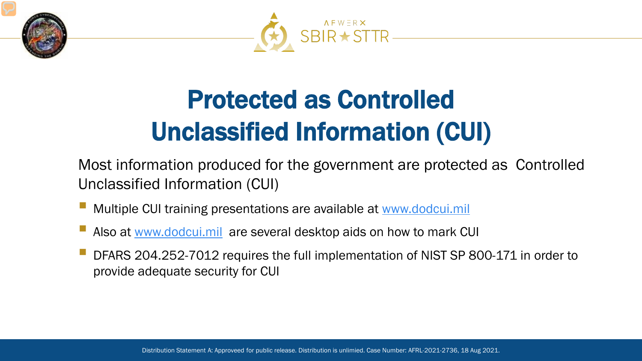



# Protected as Controlled Unclassified Information (CUI)

Most information produced for the government are protected as Controlled Unclassified Information (CUI)

- Multiple CUI training presentations are available at [www.dodcui.mil](http://www.dodcui.mil/)
- Also at [www.dodcui.mil](http://www.dodcui.mil/) are several desktop aids on how to mark CUI
- DFARS 204.252-7012 requires the full implementation of NIST SP 800-171 in order to provide adequate security for CUI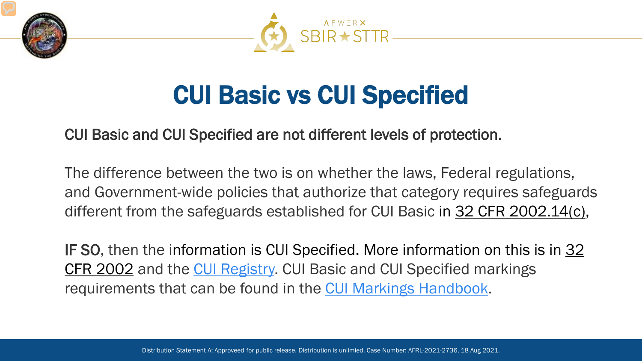



#### CUI Basic vs CUI Specified

CUI Basic and CUI Specified are not different levels of protection.

The difference between the two is on whether the laws, Federal regulations, and Government-wide policies that authorize that category requires safeguards different from the safeguards established for CUI Basic in 32 CFR 2002.14(c),

IF SO, then the information is CUI Specified. More information on this is in 32 CFR 2002 and the [CUI Registry.](https://www.archives.gov/cui/registry/category-list) CUI Basic and CUI Specified markings requirements that can be found in the [CUI Markings Handbook](https://www.archives.gov/files/cui/documents/20161206-cui-marking-handbook-v1-1-20190524.pdf).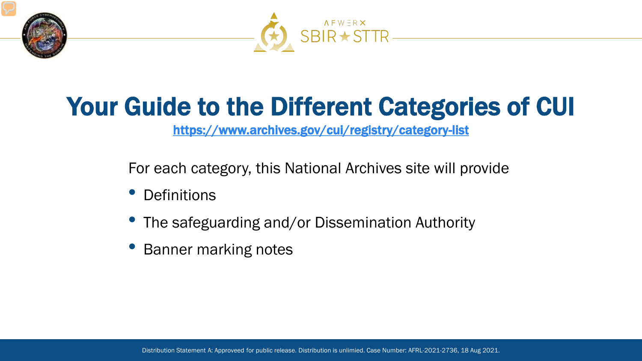



#### Your Guide to the Different Categories of CUI

<https://www.archives.gov/cui/registry/category-list>

For each category, this National Archives site will provide

- **Definitions**
- The safeguarding and/or Dissemination Authority
- Banner marking notes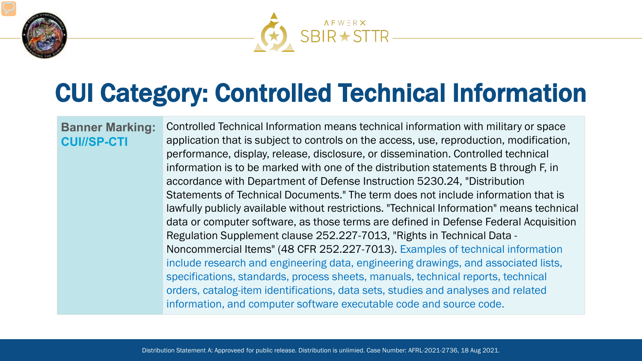



#### CUI Category: Controlled Technical Information

#### **Banner Marking: CUI//SP-CTI**

Controlled Technical Information means technical information with military or space application that is subject to controls on the access, use, reproduction, modification, performance, display, release, disclosure, or dissemination. Controlled technical information is to be marked with one of the distribution statements B through F, in accordance with Department of Defense Instruction 5230.24, "Distribution Statements of Technical Documents." The term does not include information that is lawfully publicly available without restrictions. "Technical Information" means technical data or computer software, as those terms are defined in Defense Federal Acquisition Regulation Supplement clause 252.227-7013, "Rights in Technical Data - Noncommercial Items" (48 CFR 252.227-7013). Examples of technical information include research and engineering data, engineering drawings, and associated lists, specifications, standards, process sheets, manuals, technical reports, technical orders, catalog-item identifications, data sets, studies and analyses and related information, and computer software executable code and source code.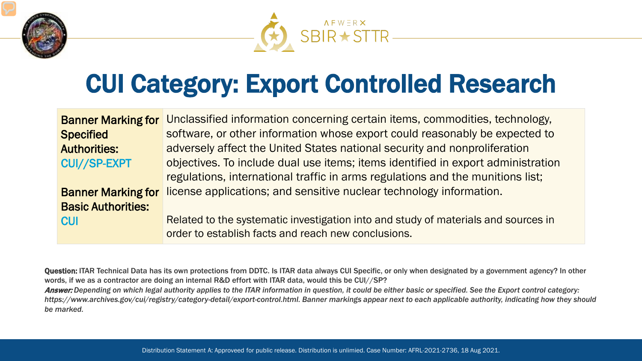



#### CUI Category: Export Controlled Research

| <b>Banner Marking for</b> | Unclassified information concerning certain items, commodities, technology,        |
|---------------------------|------------------------------------------------------------------------------------|
| <b>Specified</b>          | software, or other information whose export could reasonably be expected to        |
| <b>Authorities:</b>       | adversely affect the United States national security and nonproliferation          |
| <b>CUI//SP-EXPT</b>       | objectives. To include dual use items; items identified in export administration   |
|                           | regulations, international traffic in arms regulations and the munitions list;     |
| <b>Banner Marking for</b> | license applications; and sensitive nuclear technology information.                |
| <b>Basic Authorities:</b> |                                                                                    |
| <b>CUI</b>                | Related to the systematic investigation into and study of materials and sources in |
|                           | order to establish facts and reach new conclusions.                                |

Question: ITAR Technical Data has its own protections from DDTC. Is ITAR data always CUI Specific, or only when designated by a government agency? In other words, if we as a contractor are doing an internal R&D effort with ITAR data, would this be CUI//SP?

Answer: *Depending on which legal authority applies to the ITAR information in question, it could be either basic or specified. See the Export control category: https://www.archives.gov/cui/registry/category-detail/export-control.html. Banner markings appear next to each applicable authority, indicating how they should be marked.*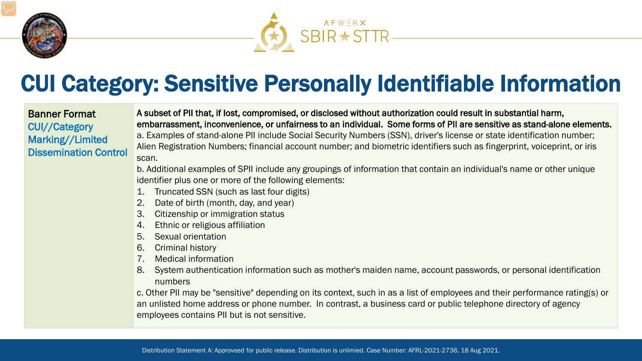



#### CUI Category: Sensitive Personally Identifiable Information

Banner Format CUI//Category Marking//Limited Dissemination Control A subset of PII that, if lost, compromised, or disclosed without authorization could result in substantial harm, embarrassment, inconvenience, or unfairness to an individual. Some forms of PII are sensitive as stand-alone elements. a. Examples of stand-alone PII include Social Security Numbers (SSN), driver's license or state identification number; Alien Registration Numbers; financial account number; and biometric identifiers such as fingerprint, voiceprint, or iris scan.

b. Additional examples of SPII include any groupings of information that contain an individual's name or other unique identifier plus one or more of the following elements:

- 1. Truncated SSN (such as last four digits)
- 2. Date of birth (month, day, and year)
- 3. Citizenship or immigration status
- 4. Ethnic or religious affiliation
- 5. Sexual orientation
- 6. Criminal history
- 7. Medical information
- 8. System authentication information such as mother's maiden name, account passwords, or personal identification numbers

c. Other PII may be "sensitive" depending on its context, such in as a list of employees and their performance rating(s) or an unlisted home address or phone number. In contrast, a business card or public telephone directory of agency employees contains PII but is not sensitive.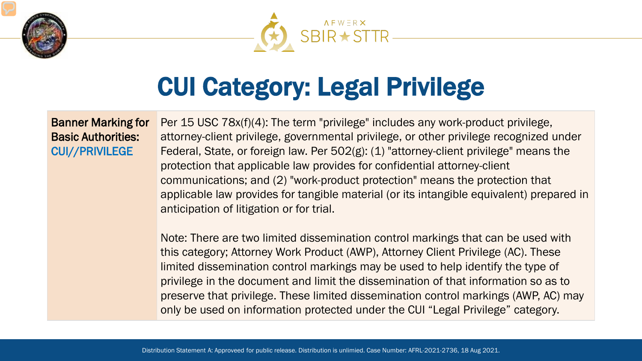



### CUI Category: Legal Privilege

#### Banner Marking for Basic Authorities: CUI//PRIVILEGE

Per 15 USC 78x(f)(4): The term "privilege" includes any work-product privilege, attorney-client privilege, governmental privilege, or other privilege recognized under Federal, State, or foreign law. Per 502(g): (1) "attorney-client privilege" means the protection that applicable law provides for confidential attorney-client communications; and (2) "work-product protection" means the protection that applicable law provides for tangible material (or its intangible equivalent) prepared in anticipation of litigation or for trial.

Note: There are two limited dissemination control markings that can be used with this category; Attorney Work Product (AWP), Attorney Client Privilege (AC). These limited dissemination control markings may be used to help identify the type of privilege in the document and limit the dissemination of that information so as to preserve that privilege. These limited dissemination control markings (AWP, AC) may only be used on information protected under the CUI "Legal Privilege" category.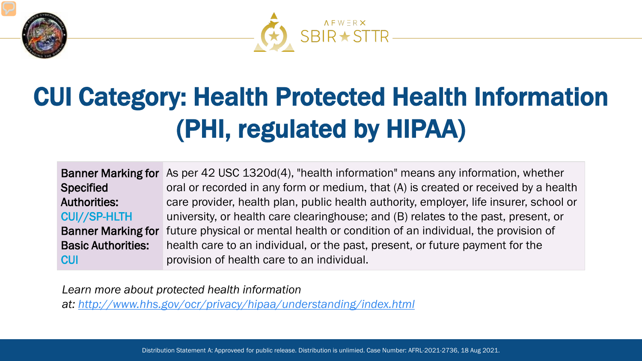



# CUI Category: Health Protected Health Information (PHI, regulated by HIPAA)

|                           | Banner Marking for As per 42 USC 1320d(4), "health information" means any information, whether |
|---------------------------|------------------------------------------------------------------------------------------------|
| <b>Specified</b>          | oral or recorded in any form or medium, that (A) is created or received by a health            |
| <b>Authorities:</b>       | care provider, health plan, public health authority, employer, life insurer, school or         |
| <b>CUI//SP-HLTH</b>       | university, or health care clearinghouse; and (B) relates to the past, present, or             |
| <b>Banner Marking for</b> | future physical or mental health or condition of an individual, the provision of               |
| <b>Basic Authorities:</b> | health care to an individual, or the past, present, or future payment for the                  |
| <b>CUI</b>                | provision of health care to an individual.                                                     |

*Learn more about protected health information* 

*at: [http://www.hhs.gov/ocr/privacy/hipaa/understanding/index.html](https://www.hhs.gov/ocr/privacy/hipaa/understanding/index.html)*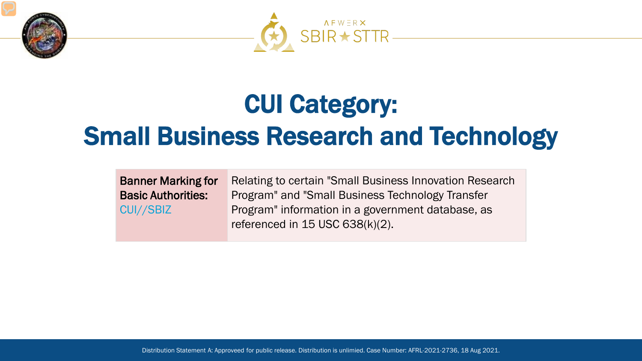



#### CUI Category: Small Business Research and Technology

Banner Marking for Basic Authorities: CUI//SBIZ

Relating to certain "Small Business Innovation Research Program" and "Small Business Technology Transfer Program" information in a government database, as referenced in 15 USC 638(k)(2).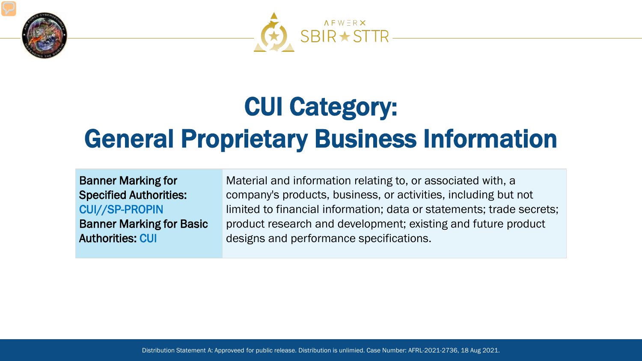



#### CUI Category: General Proprietary Business Information

Banner Marking for Specified Authorities: CUI//SP-PROPIN Banner Marking for Basic Authorities: CUI

Material and information relating to, or associated with, a company's products, business, or activities, including but not limited to financial information; data or statements; trade secrets; product research and development; existing and future product designs and performance specifications.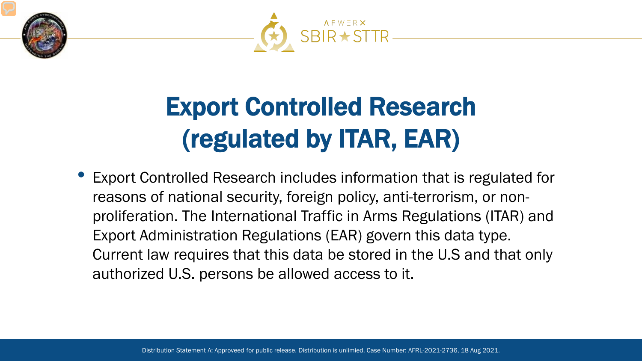



### Export Controlled Research (regulated by ITAR, EAR)

• Export Controlled Research includes information that is regulated for reasons of national security, foreign policy, anti-terrorism, or nonproliferation. The International Traffic in Arms Regulations (ITAR) and Export Administration Regulations (EAR) govern this data type. Current law requires that this data be stored in the U.S and that only authorized U.S. persons be allowed access to it.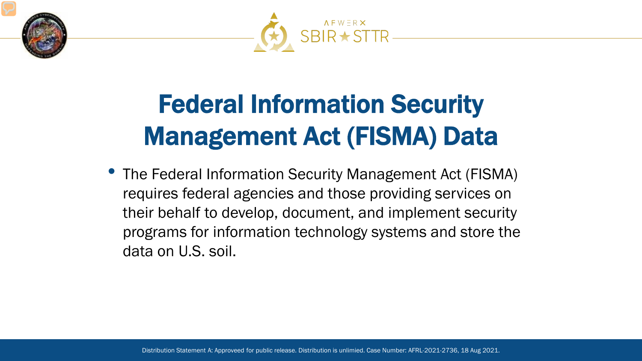



# Federal Information Security Management Act (FISMA) Data

• The Federal Information Security Management Act (FISMA) requires federal agencies and those providing services on their behalf to develop, document, and implement security programs for information technology systems and store the data on U.S. soil.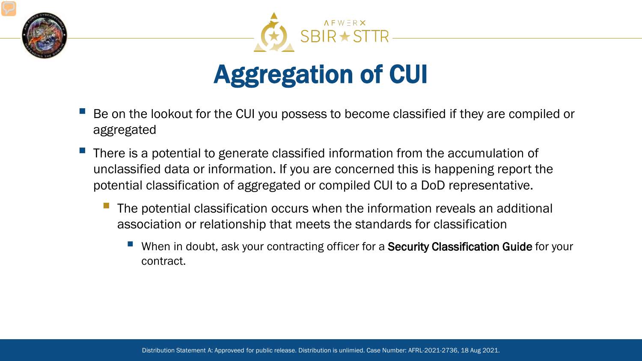



#### Aggregation of CUI

- Be on the lookout for the CUI you possess to become classified if they are compiled or aggregated
- There is a potential to generate classified information from the accumulation of unclassified data or information. If you are concerned this is happening report the potential classification of aggregated or compiled CUI to a DoD representative.
	- The potential classification occurs when the information reveals an additional association or relationship that meets the standards for classification
		- When in doubt, ask your contracting officer for a **Security Classification Guide** for your contract.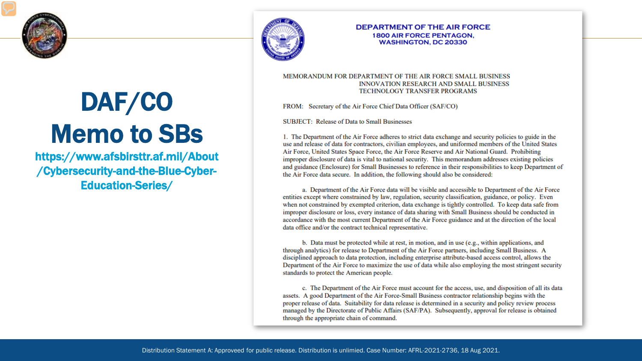

# DAF/CO Memo to SBs

https://www.afsbirsttr.af.mil/About /Cybersecurity-and-the-Blue-Cyber-Education-Series/



#### **DEPARTMENT OF THE AIR FORCE 1800 AIR FORCE PENTAGON. WASHINGTON, DC 20330**

#### MEMORANDUM FOR DEPARTMENT OF THE AIR FORCE SMALL BUSINESS **INNOVATION RESEARCH AND SMALL BUSINESS TECHNOLOGY TRANSFER PROGRAMS**

FROM: Secretary of the Air Force Chief Data Officer (SAF/CO)

**SUBJECT:** Release of Data to Small Businesses

1. The Department of the Air Force adheres to strict data exchange and security policies to guide in the use and release of data for contractors, civilian employees, and uniformed members of the United States Air Force, United States Space Force, the Air Force Reserve and Air National Guard. Prohibiting improper disclosure of data is vital to national security. This memorandum addresses existing policies and guidance (Enclosure) for Small Businesses to reference in their responsibilities to keep Department of the Air Force data secure. In addition, the following should also be considered:

a. Department of the Air Force data will be visible and accessible to Department of the Air Force entities except where constrained by law, regulation, security classification, guidance, or policy. Even when not constrained by exempted criterion, data exchange is tightly controlled. To keep data safe from improper disclosure or loss, every instance of data sharing with Small Business should be conducted in accordance with the most current Department of the Air Force guidance and at the direction of the local data office and/or the contract technical representative.

b. Data must be protected while at rest, in motion, and in use (e.g., within applications, and through analytics) for release to Department of the Air Force partners, including Small Business. A disciplined approach to data protection, including enterprise attribute-based access control, allows the Department of the Air Force to maximize the use of data while also employing the most stringent security standards to protect the American people.

c. The Department of the Air Force must account for the access, use, and disposition of all its data assets. A good Department of the Air Force-Small Business contractor relationship begins with the proper release of data. Suitability for data release is determined in a security and policy review process managed by the Directorate of Public Affairs (SAF/PA). Subsequently, approval for release is obtained through the appropriate chain of command.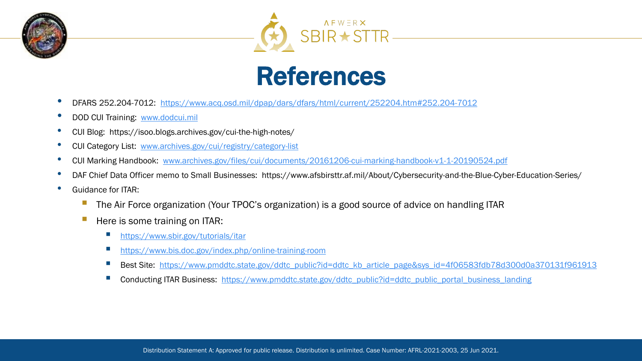





- DFARS 252.204-7012: <https://www.acq.osd.mil/dpap/dars/dfars/html/current/252204.htm#252.204-7012>
- DOD CUI Training: [www.dodcui.mil](http://www.dodcui.mil/)
- CUI Blog: https://isoo.blogs.archives.gov/cui-the-high-notes/
- CUI Category List: [www.archives.gov/cui/registry/category-list](http://www.archives.gov/cui/registry/category-list)
- CUI Marking Handbook: [www.archives.gov/files/cui/documents/20161206-cui-marking-handbook-v1-1-20190524.pdf](http://www.archives.gov/files/cui/documents/20161206-cui-marking-handbook-v1-1-20190524.pdf)
- DAF Chief Data Officer memo to Small Businesses: https://www.afsbirsttr.af.mil/About/Cybersecurity-and-the-Blue-Cyber-Education-Series/
- Guidance for ITAR:
	- The Air Force organization (Your TPOC's organization) is a good source of advice on handling ITAR
	- Here is some training on ITAR:
		- <https://www.sbir.gov/tutorials/itar>
		- <https://www.bis.doc.gov/index.php/online-training-room>
		- Best Site: [https://www.pmddtc.state.gov/ddtc\\_public?id=ddtc\\_kb\\_article\\_page&sys\\_id=4f06583fdb78d300d0a370131f961913](https://www.pmddtc.state.gov/ddtc_public?id=ddtc_kb_article_page&sys_id=4f06583fdb78d300d0a370131f961913)
		- Conducting ITAR Business: [https://www.pmddtc.state.gov/ddtc\\_public?id=ddtc\\_public\\_portal\\_business\\_landing](https://www.pmddtc.state.gov/ddtc_public?id=ddtc_public_portal_business_landing)